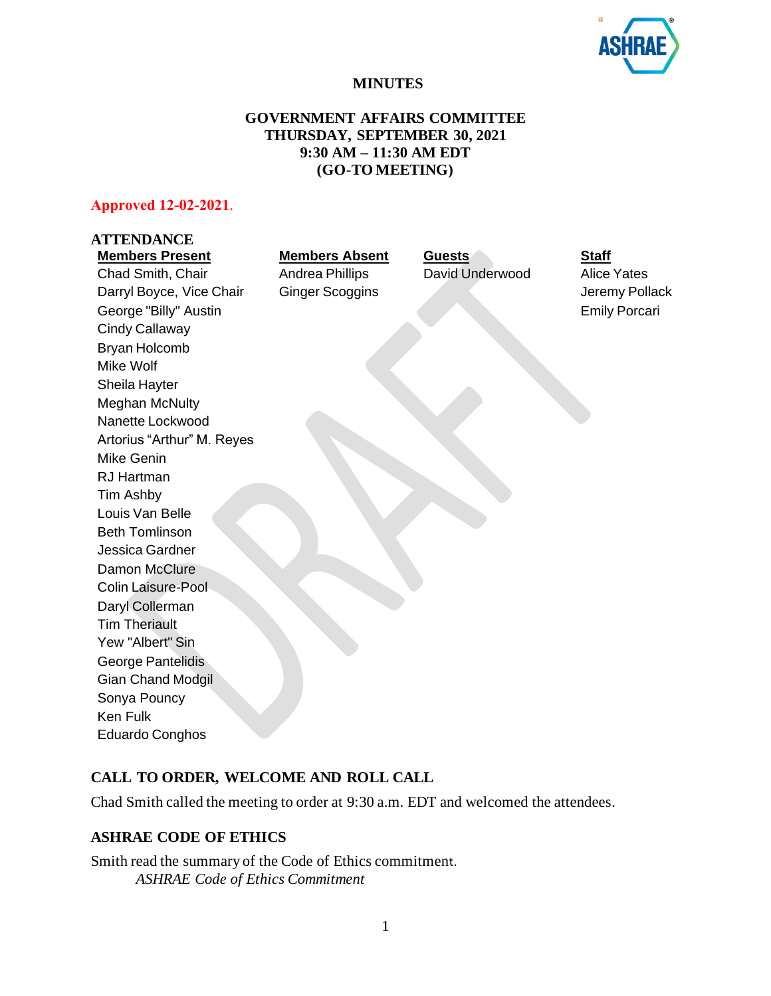

# **MINUTES**

# **GOVERNMENT AFFAIRS COMMITTEE THURSDAY, SEPTEMBER 30, 2021 9:30 AM – 11:30 AM EDT (GO-TO MEETING)**

# **Approved 12-02-2021**.

| <b>ATTENDANCE</b>          |                        |                 |                      |
|----------------------------|------------------------|-----------------|----------------------|
| <b>Members Present</b>     | <b>Members Absent</b>  | Guests          | <b>Staff</b>         |
| Chad Smith, Chair          | <b>Andrea Phillips</b> | David Underwood | <b>Alice Yates</b>   |
| Darryl Boyce, Vice Chair   | <b>Ginger Scoggins</b> |                 | Jeremy Pollack       |
| George "Billy" Austin      |                        |                 | <b>Emily Porcari</b> |
| Cindy Callaway             |                        |                 |                      |
| Bryan Holcomb              |                        |                 |                      |
| Mike Wolf                  |                        |                 |                      |
| Sheila Hayter              |                        |                 |                      |
| <b>Meghan McNulty</b>      |                        |                 |                      |
| Nanette Lockwood           |                        |                 |                      |
| Artorius "Arthur" M. Reyes |                        |                 |                      |
| Mike Genin                 |                        |                 |                      |
| <b>RJ Hartman</b>          |                        |                 |                      |
| Tim Ashby                  |                        |                 |                      |
| Louis Van Belle            |                        |                 |                      |
| <b>Beth Tomlinson</b>      |                        |                 |                      |
| Jessica Gardner            |                        |                 |                      |
| Damon McClure              |                        |                 |                      |
| Colin Laisure-Pool         |                        |                 |                      |
| Daryl Collerman            |                        |                 |                      |
| <b>Tim Theriault</b>       |                        |                 |                      |
| Yew "Albert" Sin           |                        |                 |                      |
| George Pantelidis          |                        |                 |                      |
| <b>Gian Chand Modgil</b>   |                        |                 |                      |
| Sonya Pouncy               |                        |                 |                      |
| <b>Ken Fulk</b>            |                        |                 |                      |
| <b>Eduardo Conghos</b>     |                        |                 |                      |
|                            |                        |                 |                      |

# **CALL TO ORDER, WELCOME AND ROLL CALL**

Chad Smith called the meeting to order at 9:30 a.m. EDT and welcomed the attendees.

# **ASHRAE CODE OF ETHICS**

Smith read the summary of the Code of Ethics commitment. *ASHRAE Code of Ethics Commitment*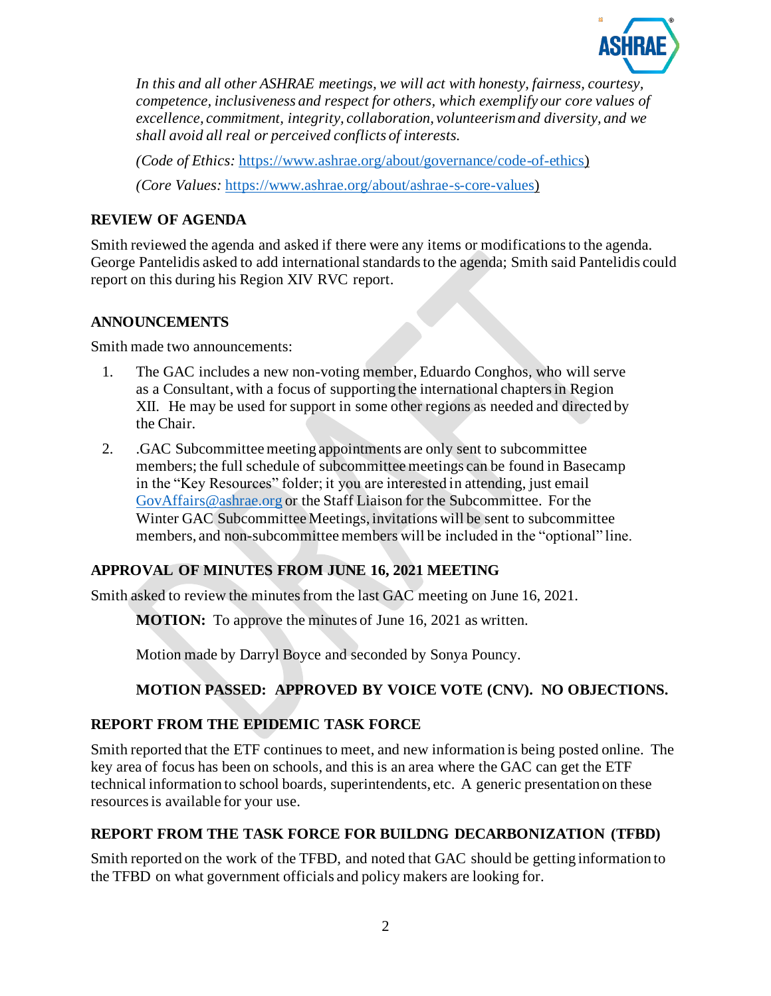

*In this and all other ASHRAE meetings, we will act with honesty, fairness, courtesy, competence, inclusiveness and respect for others, which exemplify our core values of excellence, commitment, integrity, collaboration, volunteerism and diversity, and we shall avoid all real or perceived conflicts of interests.*

*(Code of Ethics:* <https://www.ashrae.org/about/governance/code-of-ethics>)

*(Core Values:* [https://www.ashrae.org/about/ashrae-s-core-values\)](https://www.ashrae.org/about/ashrae-s-core-values)

# **REVIEW OF AGENDA**

Smith reviewed the agenda and asked if there were any items or modificationsto the agenda. George Pantelidis asked to add international standards to the agenda; Smith said Pantelidis could report on this during his Region XIV RVC report.

# **ANNOUNCEMENTS**

Smith made two announcements:

- 1. The GAC includes a new non-voting member, Eduardo Conghos, who will serve as a Consultant, with a focus of supporting the international chapters in Region XII. He may be used for support in some other regions as needed and directed by the Chair.
- 2. .GAC Subcommittee meeting appointments are only sent to subcommittee members; the full schedule of subcommittee meetings can be found in Basecamp in the "Key Resources" folder; it you are interested in attending, just email [GovAffairs@ashrae.org](mailto:GovAffairs@ashrae.org) or the Staff Liaison for the Subcommittee. For the Winter GAC Subcommittee Meetings, invitations will be sent to subcommittee members, and non-subcommittee members will be included in the "optional" line.

# **APPROVAL OF MINUTES FROM JUNE 16, 2021 MEETING**

Smith asked to review the minutes from the last GAC meeting on June 16, 2021.

**MOTION:** To approve the minutes of June 16, 2021 as written.

Motion made by Darryl Boyce and seconded by Sonya Pouncy.

# **MOTION PASSED: APPROVED BY VOICE VOTE (CNV). NO OBJECTIONS.**

# **REPORT FROM THE EPIDEMIC TASK FORCE**

Smith reported that the ETF continues to meet, and new information is being posted online. The key area of focus has been on schools, and this is an area where the GAC can get the ETF technical information to school boards, superintendents, etc. A generic presentation on these resources is available for your use.

# **REPORT FROM THE TASK FORCE FOR BUILDNG DECARBONIZATION (TFBD)**

Smith reported on the work of the TFBD, and noted that GAC should be getting information to the TFBD on what government officials and policy makers are looking for.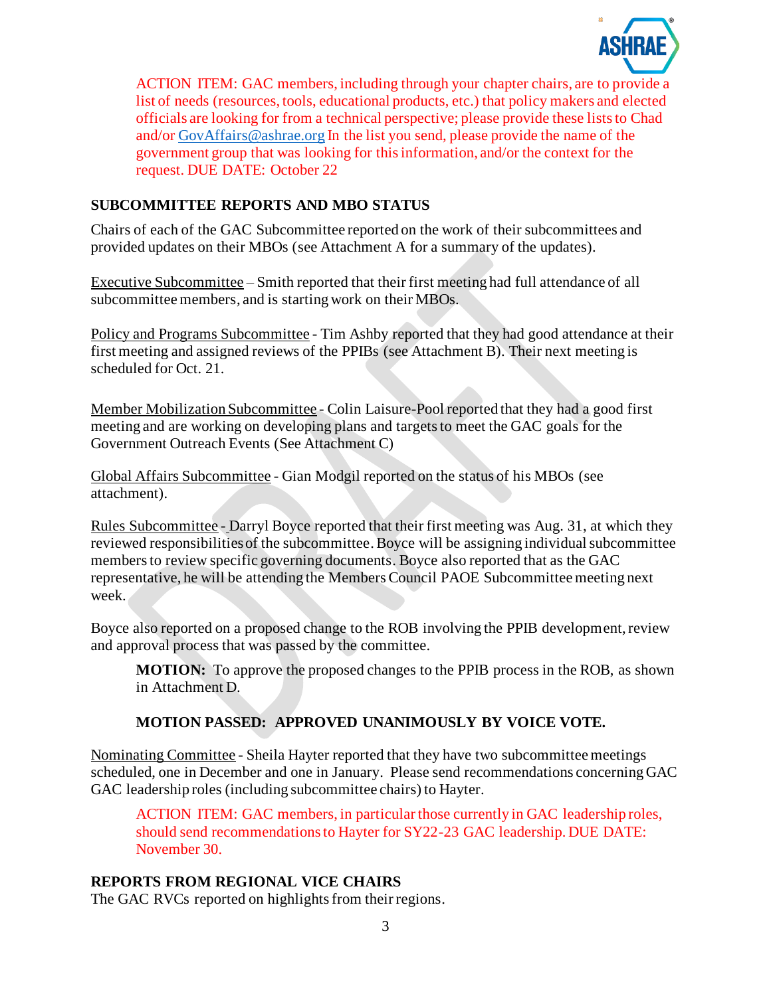

ACTION ITEM: GAC members, including through your chapter chairs, are to provide a list of needs (resources, tools, educational products, etc.) that policy makers and elected officials are looking for from a technical perspective; please provide these lists to Chad and/o[r GovAffairs@ashrae.org](mailto:GovAffairs@ashrae.org) In the list you send, please provide the name of the government group that was looking for this information, and/or the context for the request. DUE DATE: October 22

# **SUBCOMMITTEE REPORTS AND MBO STATUS**

Chairs of each of the GAC Subcommittee reported on the work of their subcommittees and provided updates on their MBOs (see Attachment A for a summary of the updates).

Executive Subcommittee – Smith reported that their first meeting had full attendance of all subcommittee members, and is starting work on their MBOs.

Policy and Programs Subcommittee - Tim Ashby reported that they had good attendance at their first meeting and assigned reviews of the PPIBs (see Attachment B). Their next meeting is scheduled for Oct. 21.

Member Mobilization Subcommittee - Colin Laisure-Pool reported that they had a good first meeting and are working on developing plans and targets to meet the GAC goals for the Government Outreach Events (See Attachment C)

Global Affairs Subcommittee - Gian Modgil reported on the status of his MBOs (see attachment).

Rules Subcommittee - Darryl Boyce reported that their first meeting was Aug. 31, at which they reviewed responsibilities of the subcommittee. Boyce will be assigning individual subcommittee members to review specific governing documents. Boyce also reported that as the GAC representative, he will be attending the Members Council PAOE Subcommittee meeting next week.

Boyce also reported on a proposed change to the ROB involving the PPIB development, review and approval process that was passed by the committee.

**MOTION:** To approve the proposed changes to the PPIB process in the ROB, as shown in Attachment D.

# **MOTION PASSED: APPROVED UNANIMOUSLY BY VOICE VOTE.**

Nominating Committee - Sheila Hayter reported that they have two subcommittee meetings scheduled, one in December and one in January. Please send recommendations concerning GAC GAC leadership roles (including subcommittee chairs) to Hayter.

ACTION ITEM: GAC members, in particular those currently in GAC leadership roles, should send recommendations to Hayter for SY22-23 GAC leadership. DUE DATE: November 30.

# **REPORTS FROM REGIONAL VICE CHAIRS**

The GAC RVCs reported on highlights from their regions.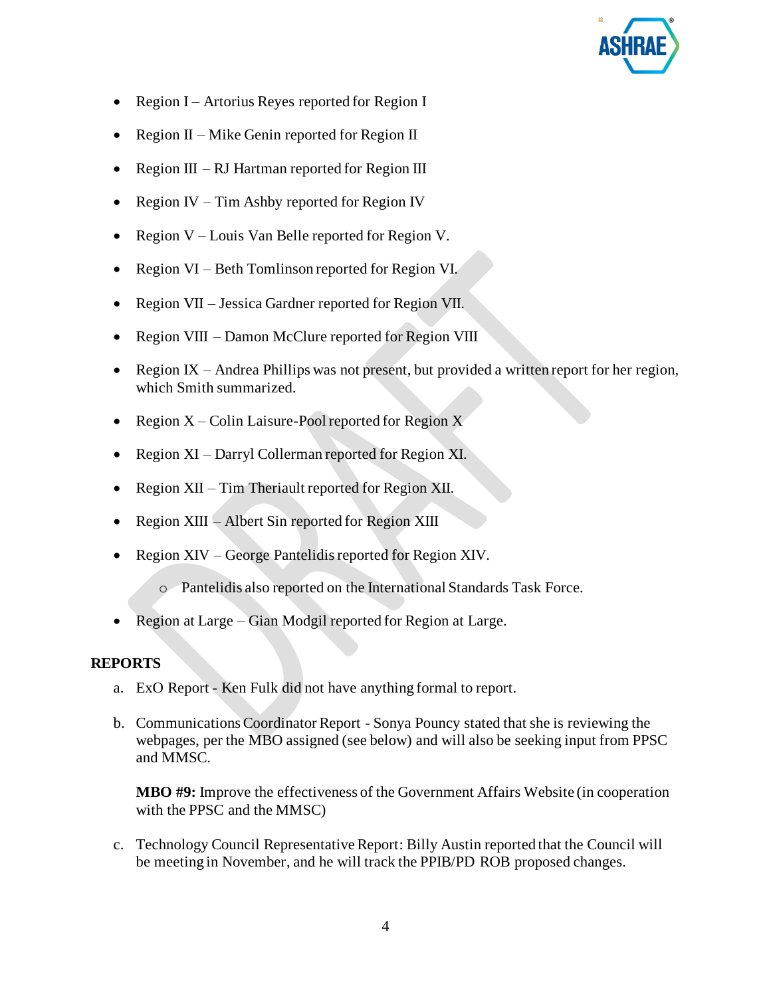

- Region I Artorius Reyes reported for Region I
- Region  $II$  Mike Genin reported for Region II
- Region  $III RI$  Hartman reported for Region III
- Region IV Tim Ashby reported for Region IV
- Region V Louis Van Belle reported for Region V.
- Region VI Beth Tomlinson reported for Region VI.
- Region VII Jessica Gardner reported for Region VII.
- Region VIII Damon McClure reported for Region VIII
- Region IX Andrea Phillips was not present, but provided a written report for her region, which Smith summarized.
- Region  $X -$ Colin Laisure-Pool reported for Region  $X$
- Region XI Darryl Collerman reported for Region XI.
- Region XII Tim Theriault reported for Region XII.
- Region XIII Albert Sin reported for Region XIII
- Region XIV George Pantelidis reported for Region XIV.
	- o Pantelidis also reported on the International Standards Task Force.
- Region at Large Gian Modgil reported for Region at Large.

# **REPORTS**

- a. ExO Report Ken Fulk did not have anything formal to report.
- b. Communications Coordinator Report Sonya Pouncy stated that she is reviewing the webpages, per the MBO assigned (see below) and will also be seeking input from PPSC and MMSC.

**MBO #9:** Improve the effectiveness of the Government Affairs Website (in cooperation with the PPSC and the MMSC)

c. Technology Council Representative Report: Billy Austin reported that the Council will be meeting in November, and he will track the PPIB/PD ROB proposed changes.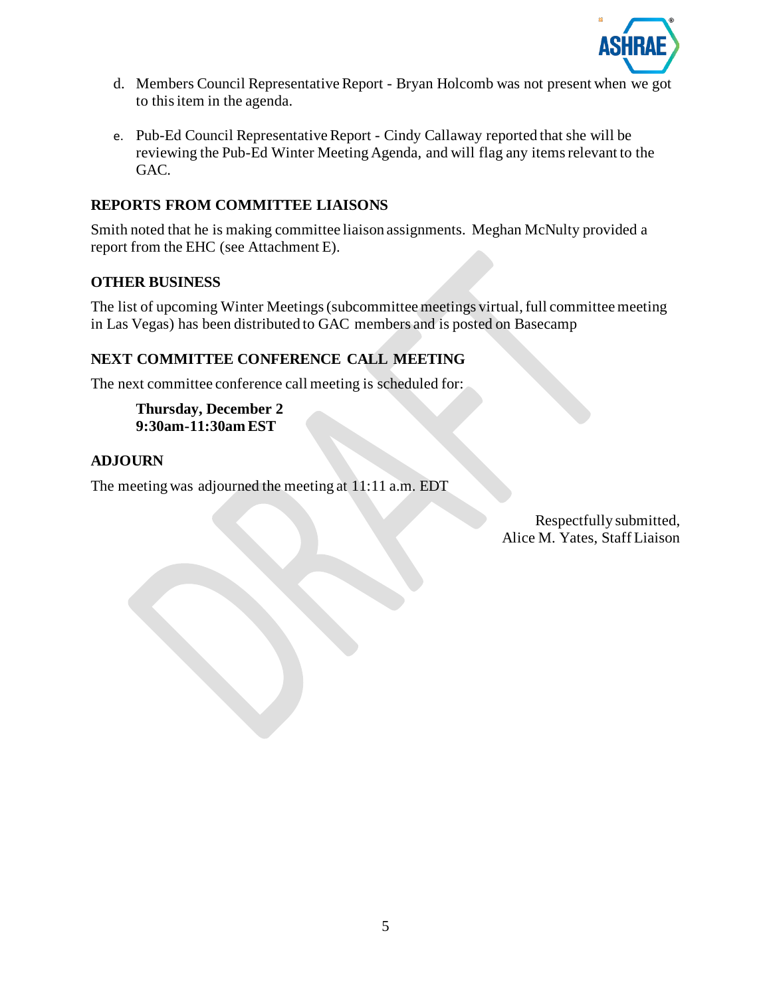

- d. Members Council Representative Report Bryan Holcomb was not present when we got to this item in the agenda.
- e. Pub-Ed Council Representative Report Cindy Callaway reported that she will be reviewing the Pub-Ed Winter Meeting Agenda, and will flag any items relevant to the GAC.

# **REPORTS FROM COMMITTEE LIAISONS**

Smith noted that he is making committee liaison assignments. Meghan McNulty provided a report from the EHC (see Attachment E).

## **OTHER BUSINESS**

The list of upcoming Winter Meetings (subcommittee meetings virtual, full committee meeting in Las Vegas) has been distributed to GAC members and is posted on Basecamp

# **NEXT COMMITTEE CONFERENCE CALL MEETING**

The next committee conference call meeting is scheduled for:

**Thursday, December 2 9:30am-11:30am EST**

## **ADJOURN**

The meeting was adjourned the meeting at 11:11 a.m. EDT

Respectfully submitted, Alice M. Yates, Staff Liaison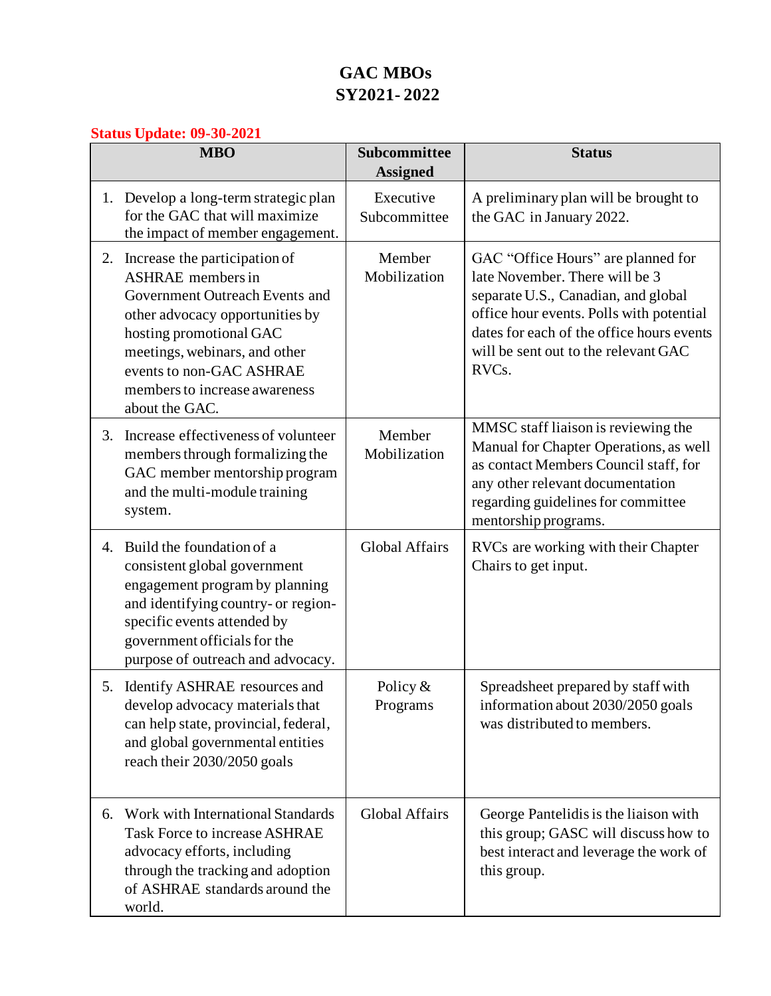# **GAC MBOs SY2021- 2022**

# **Status Update: 09-30-2021**

|    | $\sigma$ and $\sigma$ panter $\sigma$ $\sigma$ $\sigma$ $\sigma$<br><b>MBO</b>                                                                                                                                                                                               | Subcommittee<br><b>Assigned</b> | <b>Status</b>                                                                                                                                                                                                                                                      |  |  |
|----|------------------------------------------------------------------------------------------------------------------------------------------------------------------------------------------------------------------------------------------------------------------------------|---------------------------------|--------------------------------------------------------------------------------------------------------------------------------------------------------------------------------------------------------------------------------------------------------------------|--|--|
|    | 1. Develop a long-term strategic plan<br>for the GAC that will maximize<br>the impact of member engagement.                                                                                                                                                                  | Executive<br>Subcommittee       | A preliminary plan will be brought to<br>the GAC in January 2022.                                                                                                                                                                                                  |  |  |
|    | 2. Increase the participation of<br><b>ASHRAE</b> members in<br>Government Outreach Events and<br>other advocacy opportunities by<br>hosting promotional GAC<br>meetings, webinars, and other<br>events to non-GAC ASHRAE<br>members to increase awareness<br>about the GAC. | Member<br>Mobilization          | GAC "Office Hours" are planned for<br>late November. There will be 3<br>separate U.S., Canadian, and global<br>office hour events. Polls with potential<br>dates for each of the office hours events<br>will be sent out to the relevant GAC<br>RVC <sub>s</sub> . |  |  |
| 3. | Increase effectiveness of volunteer<br>members through formalizing the<br>GAC member mentorship program<br>and the multi-module training<br>system.                                                                                                                          | Member<br>Mobilization          | MMSC staff liaison is reviewing the<br>Manual for Chapter Operations, as well<br>as contact Members Council staff, for<br>any other relevant documentation<br>regarding guidelines for committee<br>mentorship programs.                                           |  |  |
| 4. | Build the foundation of a<br>consistent global government<br>engagement program by planning<br>and identifying country- or region-<br>specific events attended by<br>government officials for the<br>purpose of outreach and advocacy.                                       | <b>Global Affairs</b>           | RVCs are working with their Chapter<br>Chairs to get input.                                                                                                                                                                                                        |  |  |
|    | 5. Identify ASHRAE resources and<br>develop advocacy materials that<br>can help state, provincial, federal,<br>and global governmental entities<br>reach their 2030/2050 goals                                                                                               | Policy $&$<br>Programs          | Spreadsheet prepared by staff with<br>information about 2030/2050 goals<br>was distributed to members.                                                                                                                                                             |  |  |
| 6. | Work with International Standards<br><b>Task Force to increase ASHRAE</b><br>advocacy efforts, including<br>through the tracking and adoption<br>of ASHRAE standards around the<br>world.                                                                                    | <b>Global Affairs</b>           | George Pantelidis is the liaison with<br>this group; GASC will discuss how to<br>best interact and leverage the work of<br>this group.                                                                                                                             |  |  |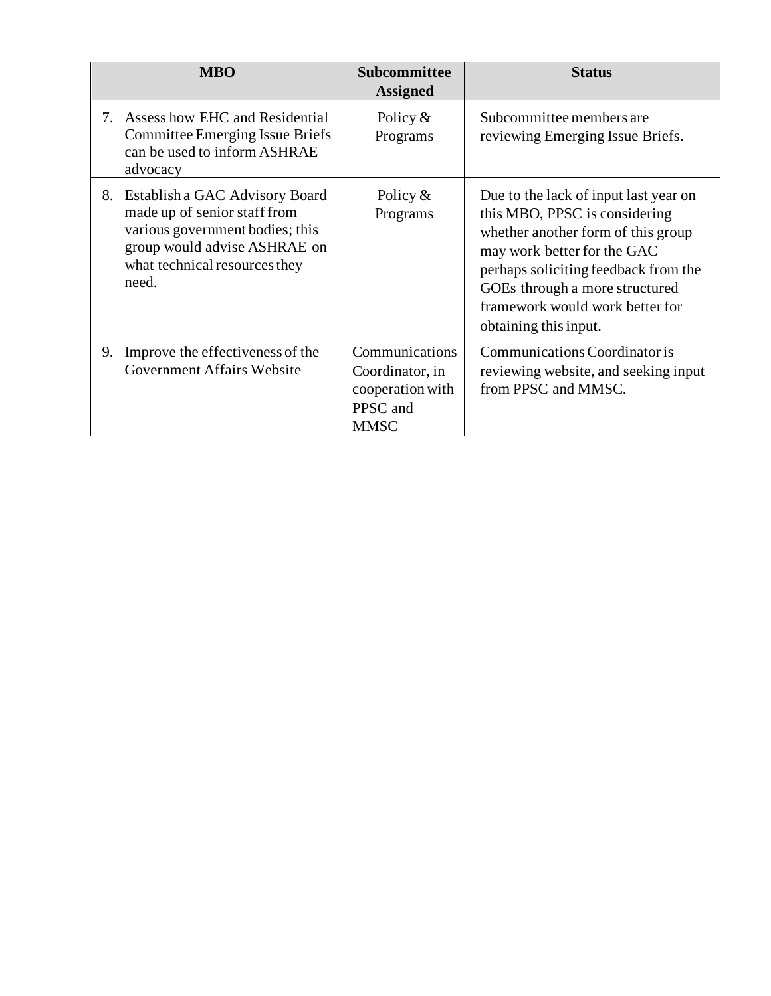|         | <b>MBO</b>                                                                                                                                                                  | <b>Subcommittee</b><br><b>Assigned</b>                                           | <b>Status</b>                                                                                                                                                                                                                                                                       |
|---------|-----------------------------------------------------------------------------------------------------------------------------------------------------------------------------|----------------------------------------------------------------------------------|-------------------------------------------------------------------------------------------------------------------------------------------------------------------------------------------------------------------------------------------------------------------------------------|
| $7_{-}$ | Assess how EHC and Residential<br>Committee Emerging Issue Briefs<br>can be used to inform ASHRAE<br>advocacy                                                               | Policy $&$<br>Programs                                                           | Subcommittee members are<br>reviewing Emerging Issue Briefs.                                                                                                                                                                                                                        |
| 8.      | Establish a GAC Advisory Board<br>made up of senior staff from<br>various government bodies; this<br>group would advise ASHRAE on<br>what technical resources they<br>need. | Policy $&$<br>Programs                                                           | Due to the lack of input last year on<br>this MBO, PPSC is considering<br>whether another form of this group<br>may work better for the GAC –<br>perhaps soliciting feedback from the<br>GOEs through a more structured<br>framework would work better for<br>obtaining this input. |
| 9.      | Improve the effectiveness of the<br><b>Government Affairs Website</b>                                                                                                       | Communications<br>Coordinator, in<br>cooperation with<br>PPSC and<br><b>MMSC</b> | Communications Coordinator is<br>reviewing website, and seeking input<br>from PPSC and MMSC.                                                                                                                                                                                        |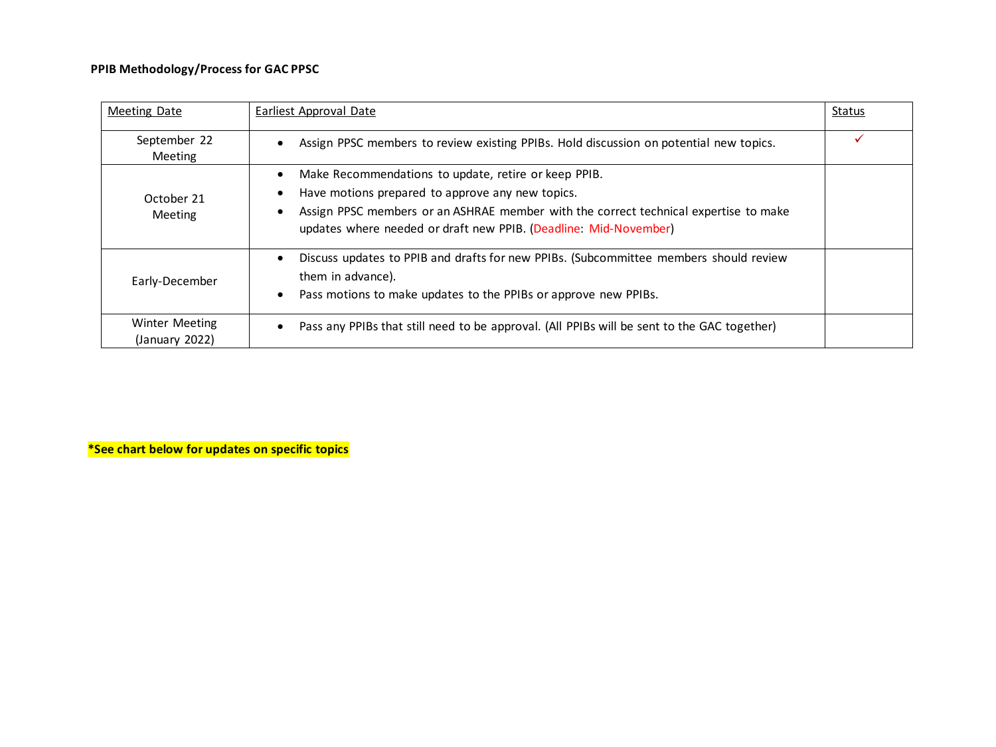# **PPIB Methodology/Process for GAC PPSC**

| Meeting Date                            | Earliest Approval Date                                                                                                                                                                                                                                                            | Status |
|-----------------------------------------|-----------------------------------------------------------------------------------------------------------------------------------------------------------------------------------------------------------------------------------------------------------------------------------|--------|
| September 22<br><b>Meeting</b>          | Assign PPSC members to review existing PPIBs. Hold discussion on potential new topics.                                                                                                                                                                                            |        |
| October 21<br><b>Meeting</b>            | Make Recommendations to update, retire or keep PPIB.<br>$\bullet$<br>Have motions prepared to approve any new topics.<br>Assign PPSC members or an ASHRAE member with the correct technical expertise to make<br>updates where needed or draft new PPIB. (Deadline: Mid-November) |        |
| Early-December                          | Discuss updates to PPIB and drafts for new PPIBs. (Subcommittee members should review<br>them in advance).<br>Pass motions to make updates to the PPIBs or approve new PPIBs.                                                                                                     |        |
| <b>Winter Meeting</b><br>(January 2022) | Pass any PPIBs that still need to be approval. (All PPIBs will be sent to the GAC together)                                                                                                                                                                                       |        |

**\*See chart below for updates on specific topics**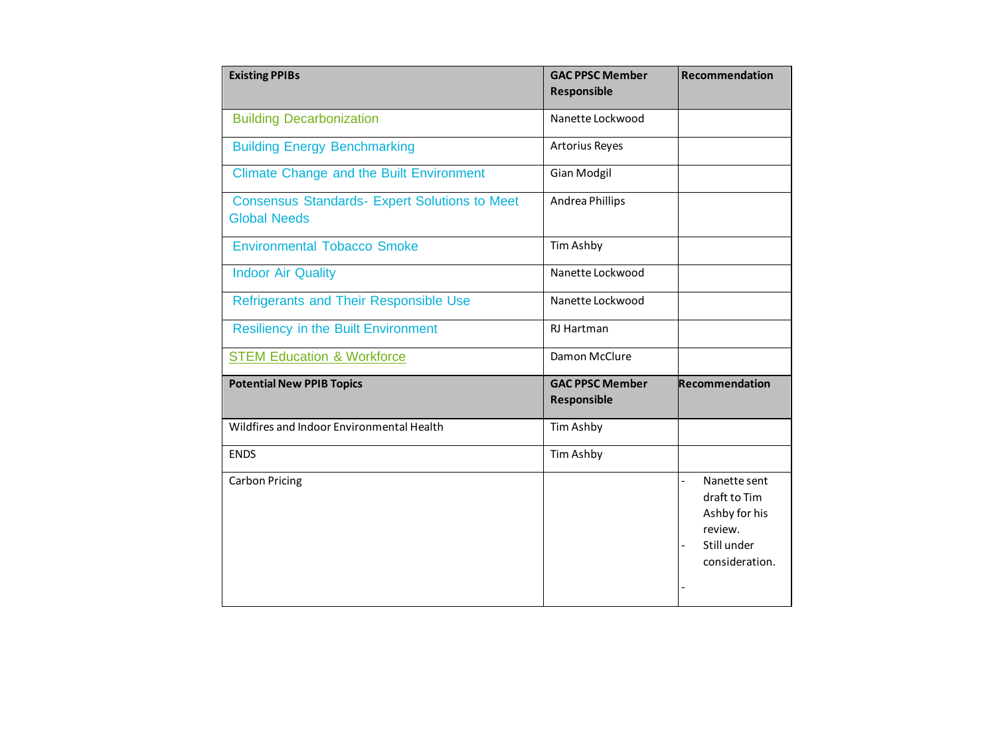| <b>Existing PPIBs</b>                                                       | <b>GAC PPSC Member</b><br>Responsible        | Recommendation                                                                                              |
|-----------------------------------------------------------------------------|----------------------------------------------|-------------------------------------------------------------------------------------------------------------|
| <b>Building Decarbonization</b>                                             | Nanette Lockwood                             |                                                                                                             |
| <b>Building Energy Benchmarking</b>                                         | <b>Artorius Reyes</b>                        |                                                                                                             |
| <b>Climate Change and the Built Environment</b>                             | <b>Gian Modgil</b>                           |                                                                                                             |
| <b>Consensus Standards- Expert Solutions to Meet</b><br><b>Global Needs</b> | Andrea Phillips                              |                                                                                                             |
| <b>Environmental Tobacco Smoke</b>                                          | Tim Ashby                                    |                                                                                                             |
| <b>Indoor Air Quality</b>                                                   | Nanette Lockwood                             |                                                                                                             |
| Refrigerants and Their Responsible Use                                      | Nanette Lockwood                             |                                                                                                             |
| <b>Resiliency in the Built Environment</b>                                  | RJ Hartman                                   |                                                                                                             |
| <b>STEM Education &amp; Workforce</b>                                       | Damon McClure                                |                                                                                                             |
| <b>Potential New PPIB Topics</b>                                            | <b>GAC PPSC Member</b><br><b>Responsible</b> | Recommendation                                                                                              |
| Wildfires and Indoor Environmental Health                                   | Tim Ashby                                    |                                                                                                             |
| <b>ENDS</b>                                                                 | Tim Ashby                                    |                                                                                                             |
| <b>Carbon Pricing</b>                                                       |                                              | Nanette sent<br>$\overline{a}$<br>draft to Tim<br>Ashby for his<br>review.<br>Still under<br>consideration. |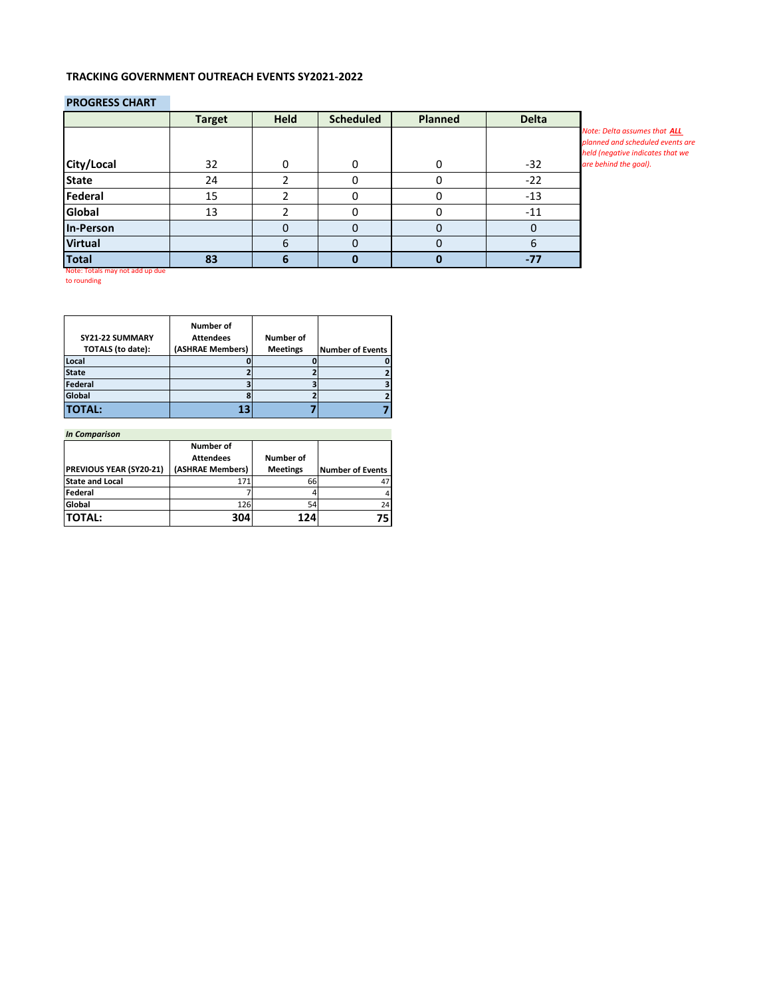## **TRACKING GOVERNMENT OUTREACH EVENTS SY2021-2022**

### **PROGRESS CHART**

|                | <b>Target</b> | <b>Held</b> | <b>Scheduled</b> | <b>Planned</b> | <b>Delta</b> |                                                                                                      |
|----------------|---------------|-------------|------------------|----------------|--------------|------------------------------------------------------------------------------------------------------|
|                |               |             |                  |                |              | Note: Delta assumes that ALL<br>planned and scheduled events are<br>held (negative indicates that we |
| City/Local     | 32            |             | 0                |                | $-32$        | are behind the goal).                                                                                |
| <b>State</b>   | 24            |             |                  |                | $-22$        |                                                                                                      |
| Federal        | 15            |             |                  |                | $-13$        |                                                                                                      |
| Global         | 13            |             |                  |                | $-11$        |                                                                                                      |
| In-Person      |               |             |                  |                |              |                                                                                                      |
| <b>Virtual</b> |               | n           | 0                |                | h            |                                                                                                      |
| Total          | 83            |             |                  |                | $-77$        |                                                                                                      |

Note: Totals may not add up due to rounding

|                          | Number of        |                 |                         |
|--------------------------|------------------|-----------------|-------------------------|
| SY21-22 SUMMARY          | <b>Attendees</b> | Number of       |                         |
| <b>TOTALS</b> (to date): | (ASHRAE Members) | <b>Meetings</b> | <b>Number of Events</b> |
| Local                    |                  |                 |                         |
| <b>State</b>             |                  |                 |                         |
| Federal                  |                  |                 |                         |
| Global                   |                  |                 |                         |
| <b>TOTAL:</b>            | 13               |                 |                         |

| <b>In Comparison</b>           |                  |                 |                         |
|--------------------------------|------------------|-----------------|-------------------------|
|                                | Number of        |                 |                         |
|                                | <b>Attendees</b> | Number of       |                         |
| <b>PREVIOUS YEAR (SY20-21)</b> | (ASHRAE Members) | <b>Meetings</b> | <b>Number of Events</b> |
| <b>State and Local</b>         | 171              | 66              |                         |
| Federal                        |                  |                 | 4                       |
| Global                         | 126              | 54              | 24                      |
| <b>TOTAL:</b>                  | 304              | 124             |                         |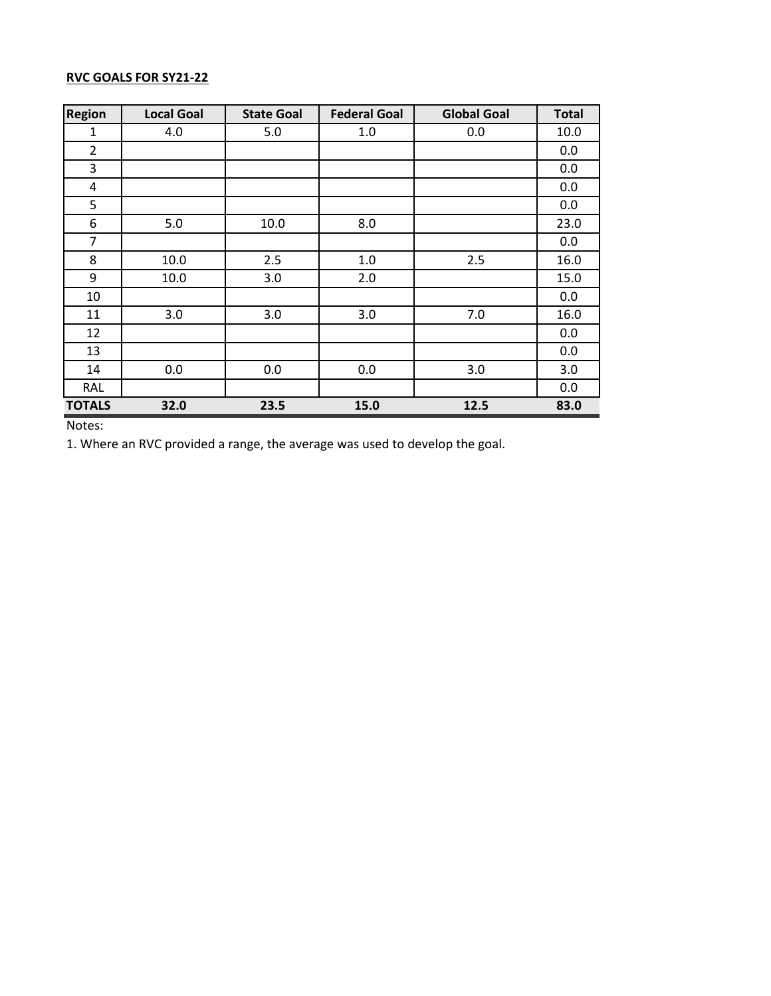# **RVC GOALS FOR SY21-22**

| Region         | <b>Local Goal</b> | <b>State Goal</b> | <b>Federal Goal</b> | <b>Global Goal</b> | <b>Total</b> |
|----------------|-------------------|-------------------|---------------------|--------------------|--------------|
| 1              | 4.0               | 5.0               | 1.0                 | 0.0                | 10.0         |
| $\overline{2}$ |                   |                   |                     |                    | 0.0          |
| 3              |                   |                   |                     |                    | 0.0          |
| 4              |                   |                   |                     |                    | 0.0          |
| 5              |                   |                   |                     |                    | 0.0          |
| 6              | 5.0               | 10.0              | 8.0                 |                    | 23.0         |
| 7              |                   |                   |                     |                    | 0.0          |
| 8              | 10.0              | 2.5               | 1.0                 | 2.5                | 16.0         |
| 9              | 10.0              | 3.0               | 2.0                 |                    | 15.0         |
| 10             |                   |                   |                     |                    | 0.0          |
| 11             | 3.0               | 3.0               | 3.0                 | 7.0                | 16.0         |
| 12             |                   |                   |                     |                    | 0.0          |
| 13             |                   |                   |                     |                    | 0.0          |
| 14             | 0.0               | 0.0               | 0.0                 | 3.0                | 3.0          |
| RAL            |                   |                   |                     |                    | 0.0          |
| <b>TOTALS</b>  | 32.0              | 23.5              | 15.0                | 12.5               | 83.0         |

Notes:

1. Where an RVC provided a range, the average was used to develop the goal.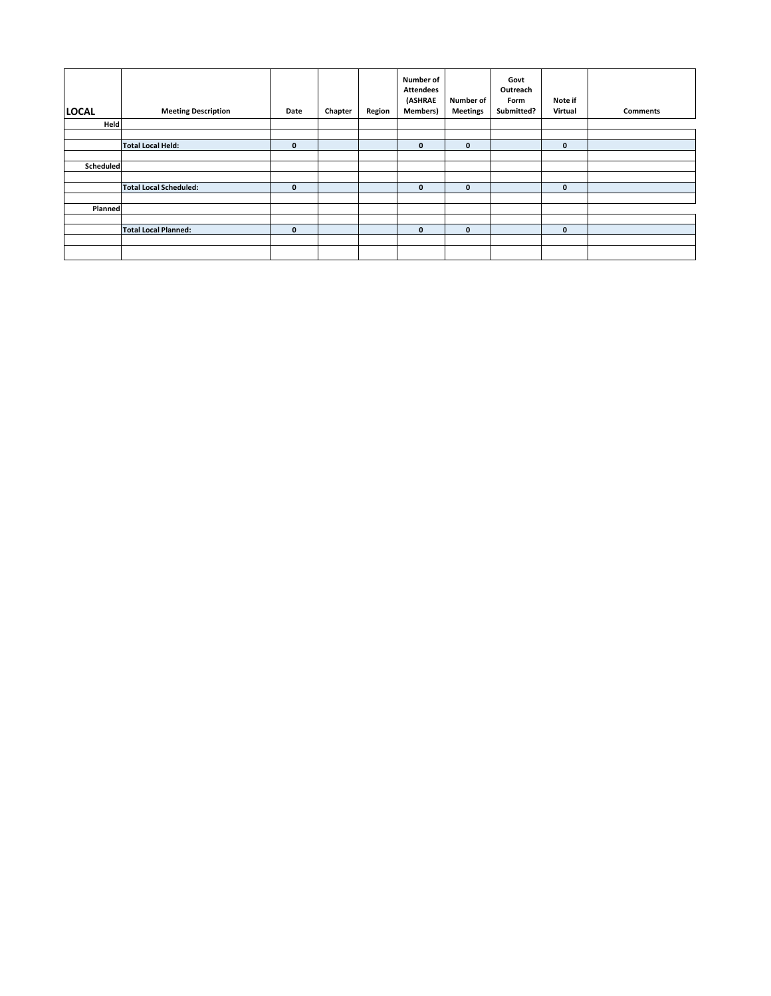| <b>LOCAL</b> | <b>Meeting Description</b>    | Date         | Chapter | Region | <b>Number of</b><br><b>Attendees</b><br>(ASHRAE<br><b>Members)</b> | <b>Number of</b><br><b>Meetings</b> | Govt<br>Outreach<br>Form<br>Submitted? | Note if<br>Virtual | <b>Comments</b> |
|--------------|-------------------------------|--------------|---------|--------|--------------------------------------------------------------------|-------------------------------------|----------------------------------------|--------------------|-----------------|
| Held         |                               |              |         |        |                                                                    |                                     |                                        |                    |                 |
|              |                               |              |         |        |                                                                    |                                     |                                        |                    |                 |
|              | <b>Total Local Held:</b>      | $\mathbf{0}$ |         |        | $\mathbf{0}$                                                       | $\mathbf{0}$                        |                                        | $\mathbf{0}$       |                 |
|              |                               |              |         |        |                                                                    |                                     |                                        |                    |                 |
| Scheduled    |                               |              |         |        |                                                                    |                                     |                                        |                    |                 |
|              |                               |              |         |        |                                                                    |                                     |                                        |                    |                 |
|              | <b>Total Local Scheduled:</b> | $\mathbf{0}$ |         |        | $\mathbf{0}$                                                       | $\mathbf{0}$                        |                                        | $\mathbf{0}$       |                 |
|              |                               |              |         |        |                                                                    |                                     |                                        |                    |                 |
| Planned      |                               |              |         |        |                                                                    |                                     |                                        |                    |                 |
|              |                               |              |         |        |                                                                    |                                     |                                        |                    |                 |
|              | <b>Total Local Planned:</b>   | $\mathbf{0}$ |         |        | $\mathbf{0}$                                                       | $\mathbf{0}$                        |                                        | $\mathbf{0}$       |                 |
|              |                               |              |         |        |                                                                    |                                     |                                        |                    |                 |
|              |                               |              |         |        |                                                                    |                                     |                                        |                    |                 |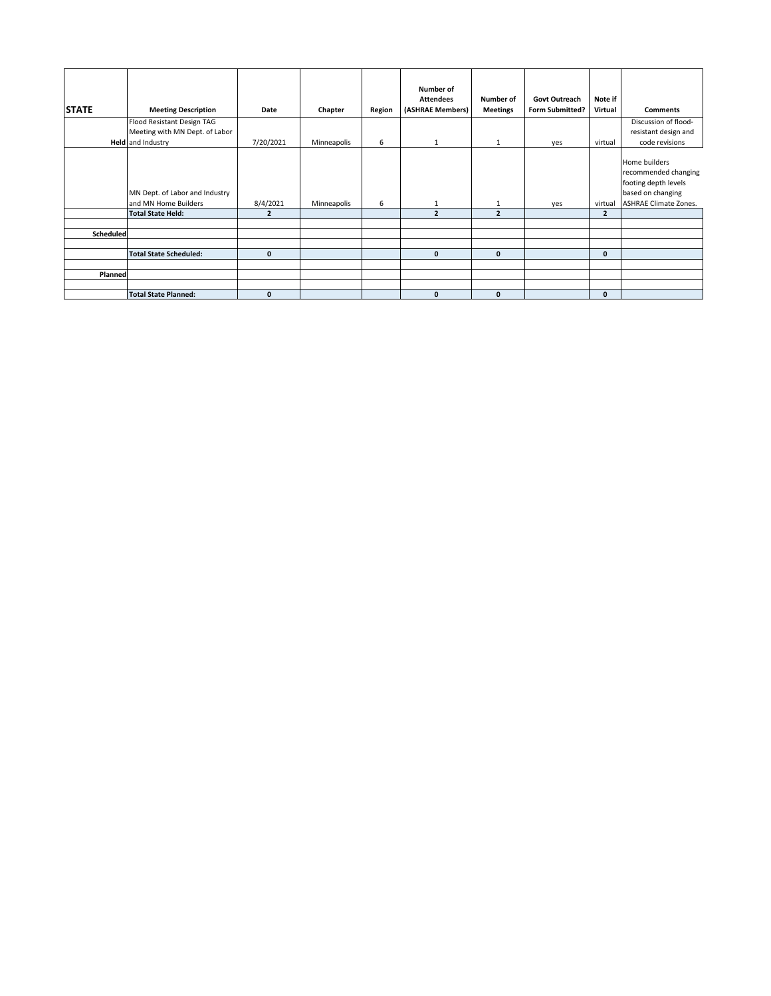|              |                                                        |                |             |        | Number of        |                 |                        |                |                                                                                                                    |
|--------------|--------------------------------------------------------|----------------|-------------|--------|------------------|-----------------|------------------------|----------------|--------------------------------------------------------------------------------------------------------------------|
|              |                                                        |                |             |        | <b>Attendees</b> | Number of       | <b>Govt Outreach</b>   | Note if        |                                                                                                                    |
| <b>STATE</b> | <b>Meeting Description</b>                             | Date           | Chapter     | Region | (ASHRAE Members) | <b>Meetings</b> | <b>Form Submitted?</b> | Virtual        | <b>Comments</b>                                                                                                    |
|              | Flood Resistant Design TAG                             |                |             |        |                  |                 |                        |                | Discussion of flood-                                                                                               |
|              | Meeting with MN Dept. of Labor                         |                |             |        |                  |                 |                        |                | resistant design and                                                                                               |
|              | <b>Held</b> and Industry                               | 7/20/2021      | Minneapolis | 6      | $\mathbf{1}$     | 1               | yes                    | virtual        | code revisions                                                                                                     |
|              | MN Dept. of Labor and Industry<br>and MN Home Builders | 8/4/2021       | Minneapolis | 6      |                  | 1               | yes                    | virtual        | Home builders<br>recommended changing<br>footing depth levels<br>based on changing<br><b>ASHRAE Climate Zones.</b> |
|              | <b>Total State Held:</b>                               | $\overline{2}$ |             |        | $\overline{2}$   | $\overline{2}$  |                        | $\overline{2}$ |                                                                                                                    |
| Scheduled    |                                                        |                |             |        |                  |                 |                        |                |                                                                                                                    |
|              | <b>Total State Scheduled:</b>                          | $\mathbf{0}$   |             |        | $\mathbf{0}$     | $\mathbf{0}$    |                        | 0              |                                                                                                                    |
|              |                                                        |                |             |        |                  |                 |                        |                |                                                                                                                    |
| Planned      |                                                        |                |             |        |                  |                 |                        |                |                                                                                                                    |
|              |                                                        |                |             |        |                  |                 |                        |                |                                                                                                                    |
|              | <b>Total State Planned:</b>                            | $\mathbf{0}$   |             |        | $\Omega$         | $\mathbf{0}$    |                        | 0              |                                                                                                                    |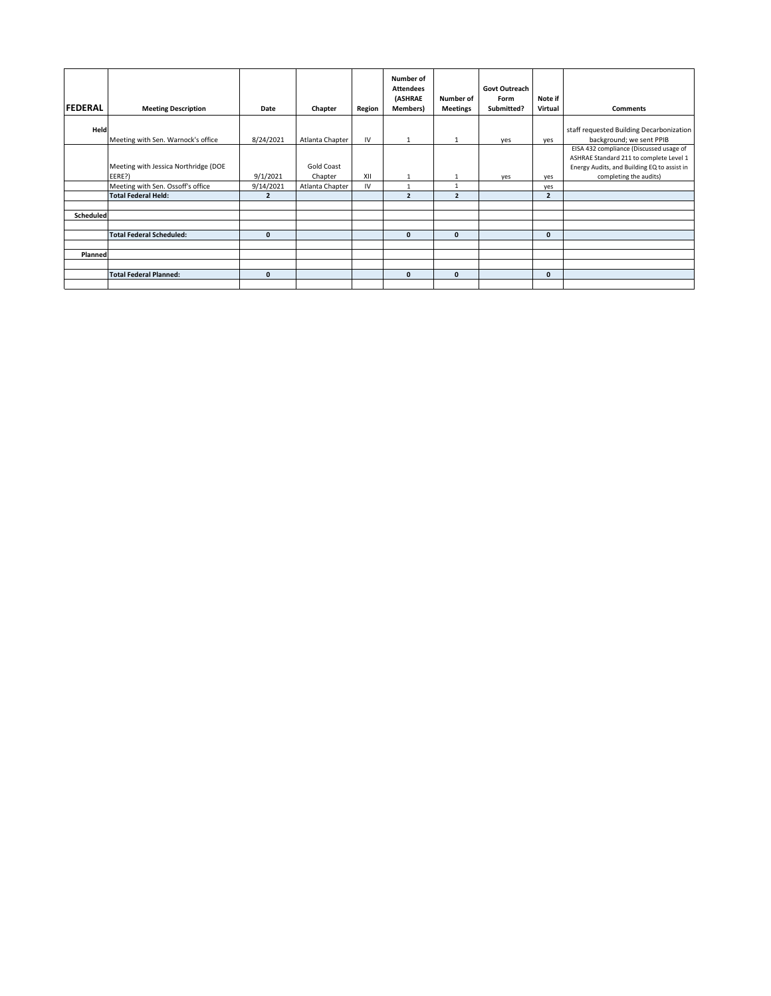|                |                                                |                |                       |        | Number of<br><b>Attendees</b> |                 | Govt Outreach |                |                                                                                    |
|----------------|------------------------------------------------|----------------|-----------------------|--------|-------------------------------|-----------------|---------------|----------------|------------------------------------------------------------------------------------|
|                |                                                |                |                       |        | (ASHRAE                       | Number of       | Form          | Note if        |                                                                                    |
| <b>FEDERAL</b> | <b>Meeting Description</b>                     | Date           | Chapter               | Region | <b>Members</b> )              | <b>Meetings</b> | Submitted?    | Virtual        | <b>Comments</b>                                                                    |
| Held           | Meeting with Sen. Warnock's office             | 8/24/2021      | Atlanta Chapter       | IV     | 1                             | $\mathbf{1}$    | yes           | yes            | staff requested Building Decarbonization<br>background; we sent PPIB               |
|                |                                                |                |                       |        |                               |                 |               |                | EISA 432 compliance (Discussed usage of<br>ASHRAE Standard 211 to complete Level 1 |
|                | Meeting with Jessica Northridge (DOE<br>EERE?) | 9/1/2021       | Gold Coast<br>Chapter | XII    | $\mathbf{1}$                  | $\mathbf{1}$    | yes           | yes            | Energy Audits, and Building EQ to assist in<br>completing the audits)              |
|                | Meeting with Sen. Ossoff's office              | 9/14/2021      | Atlanta Chapter       | IV     |                               | $\mathbf{1}$    |               | yes            |                                                                                    |
|                | <b>Total Federal Held:</b>                     | $\overline{2}$ |                       |        | $\overline{\phantom{a}}$      | $\overline{2}$  |               | $\overline{2}$ |                                                                                    |
|                |                                                |                |                       |        |                               |                 |               |                |                                                                                    |
| Scheduled      |                                                |                |                       |        |                               |                 |               |                |                                                                                    |
|                |                                                |                |                       |        |                               |                 |               |                |                                                                                    |
|                | <b>Total Federal Scheduled:</b>                | $\mathbf{0}$   |                       |        | $\mathbf{0}$                  | $\Omega$        |               | $\mathbf{0}$   |                                                                                    |
|                |                                                |                |                       |        |                               |                 |               |                |                                                                                    |
| Planned        |                                                |                |                       |        |                               |                 |               |                |                                                                                    |
|                |                                                |                |                       |        |                               |                 |               |                |                                                                                    |
|                | <b>Total Federal Planned:</b>                  | $\mathbf{0}$   |                       |        | $\mathbf{0}$                  | $\mathbf{0}$    |               | $\mathbf{0}$   |                                                                                    |
|                |                                                |                |                       |        |                               |                 |               |                |                                                                                    |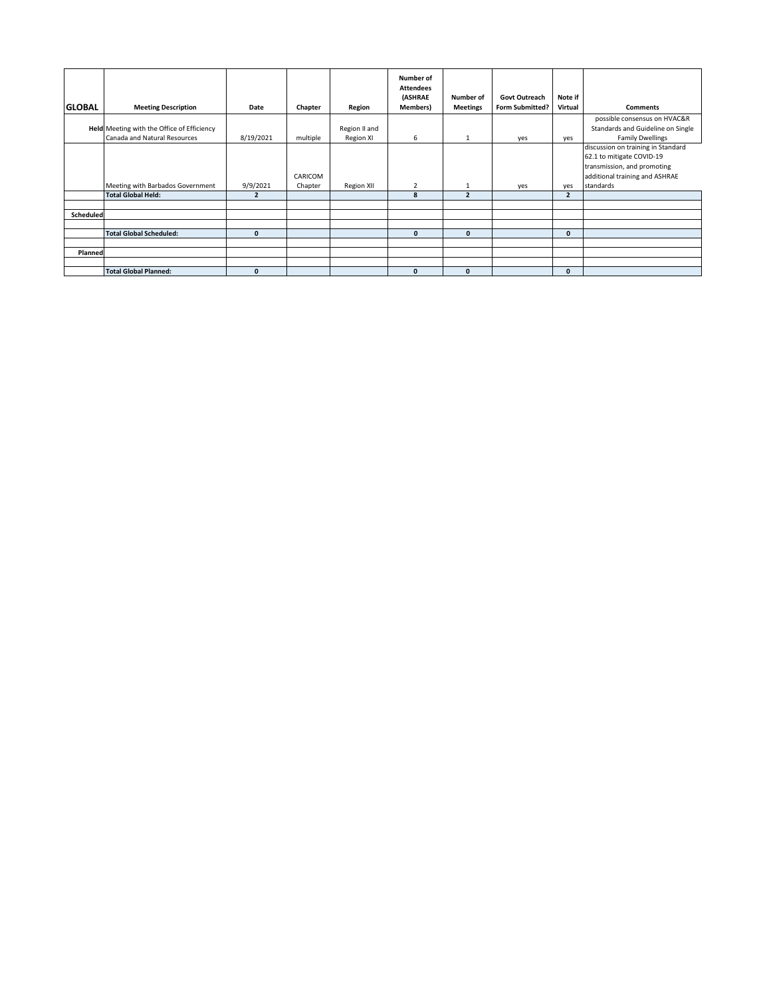|               |                                                                            |                |                    |                                   | Number of<br><b>Attendees</b><br>(ASHRAE | Number of                | <b>Govt Outreach</b>   | Note if        |                                                                                                                                               |
|---------------|----------------------------------------------------------------------------|----------------|--------------------|-----------------------------------|------------------------------------------|--------------------------|------------------------|----------------|-----------------------------------------------------------------------------------------------------------------------------------------------|
| <b>GLOBAL</b> | <b>Meeting Description</b>                                                 | Date           | Chapter            | Region                            | Members)                                 | <b>Meetings</b>          | <b>Form Submitted?</b> | Virtual        | <b>Comments</b>                                                                                                                               |
|               | Held Meeting with the Office of Efficiency<br>Canada and Natural Resources | 8/19/2021      | multiple           | Region II and<br><b>Region XI</b> | 6                                        | $\mathbf{1}$             | yes                    | yes            | possible consensus on HVAC&R<br>Standards and Guideline on Single<br><b>Family Dwellings</b>                                                  |
|               | Meeting with Barbados Government                                           | 9/9/2021       | CARICOM<br>Chapter | <b>Region XII</b>                 | $\overline{2}$                           |                          | yes                    | yes            | discussion on training in Standard<br>62.1 to mitigate COVID-19<br>transmission, and promoting<br>additional training and ASHRAE<br>standards |
|               | <b>Total Global Held:</b>                                                  | $\overline{2}$ |                    |                                   | 8                                        | $\overline{\phantom{a}}$ |                        | $\overline{2}$ |                                                                                                                                               |
|               |                                                                            |                |                    |                                   |                                          |                          |                        |                |                                                                                                                                               |
| Scheduled     |                                                                            |                |                    |                                   |                                          |                          |                        |                |                                                                                                                                               |
|               | <b>Total Global Scheduled:</b>                                             | $\mathbf{0}$   |                    |                                   | $\mathbf{0}$                             | $\mathbf{0}$             |                        | $\mathbf{0}$   |                                                                                                                                               |
|               |                                                                            |                |                    |                                   |                                          |                          |                        |                |                                                                                                                                               |
| Planned       |                                                                            |                |                    |                                   |                                          |                          |                        |                |                                                                                                                                               |
|               | <b>Total Global Planned:</b>                                               | $\Omega$       |                    |                                   | $\mathbf{0}$                             | $\Omega$                 |                        | $\bf{0}$       |                                                                                                                                               |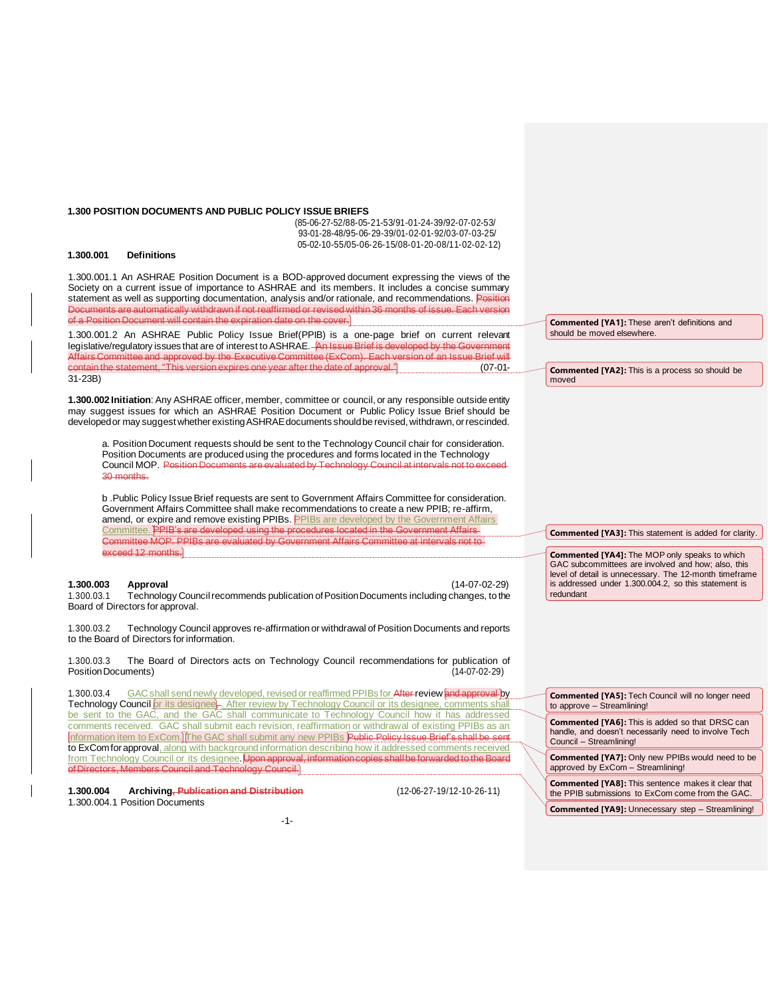#### **1.300 POSITION DOCUMENTS AND PUBLIC POLICY ISSUE BRIEFS**

(85-06-27-52/88-05-21-53/91-01-24-39/92-07-02-53/ 93-01-28-48/95-06-29-39/01-02-01-92/03-07-03-25/ 05-02-10-55/05-06-26-15/08-01-20-08/11-02-02-12)

#### **1.300.001 Definitions**

1.300.001.1 An ASHRAE Position Document is a BOD-approved document expressing the views of the Society on a current issue of importance to ASHRAE and its members. It includes a concise summary statement as well as supporting documentation, analysis and/or rationale, and recommendations. Position Documents are automatically withdrawn if not reaffirmed or revised within 36 months of issue. Each version of a Position Document will contain the expiration date on the cover.

1.300.001.2 An ASHRAE Public Policy Issue Brief(PPIB) is a one-page brief on current relevant legislative/regulatory issues that are of interest to ASHRAE. An Issue Brief is developed by the Government Affairs Committee and approved by the Executive Committee (ExCom). Each version of an Issue Brief will contain the statement, "This version expires one year after the date of approval." (07-01- 31-23B)

**1.300.002 Initiation**: Any ASHRAE officer, member, committee or council, or any responsible outside entity may suggest issues for which an ASHRAE Position Document or Public Policy Issue Brief should be developed or may suggest whether existing ASHRAE documents should be revised, withdrawn, or rescinded.

a. Position Document requests should be sent to the Technology Council chair for consideration. Position Documents are produced using the procedures and forms located in the Technology Council MOP. Position Documents are evaluated by Technology Council at intervals not to exce 30 months.

b .Public Policy Issue Brief requests are sent to Government Affairs Committee for consideration. Government Affairs Committee shall make recommendations to create a new PPIB; re-affirm, amend, or expire and remove existing PPIBs. PPIBs are developed by the Government Affairs Committee. PPIB's are developed using the procedures located in the Government Affairs-Committee MOP. PPIBs are evaluated by Government Affairs Committee at intervals not to exceed 12 months.

**1.300.003 Approval** (14-07-02-29) Technology Council recommends publication of Position Documents including changes, to the Board of Directors for approval.

1.300.03.2 Technology Council approves re-affirmation or withdrawal of Position Documents and reports to the Board of Directors for information.

1.300.03.3 The Board of Directors acts on Technology Council recommendations for publication of Position Documents) (14-07-02-29) Position Documents)

1.300.03.4 GAC shall send newly developed, revised or reaffirmed PPIBs for After review and approval by Technology Council *for its designee*, After review by Technology Council or its designee, comments shall be sent to the GAC, and the GAC shall communicate to Technology Council how it has addressed comments received. GAC shall submit each revision, reaffirmation or withdrawal of existing PPIBs as an information item to ExCom. The GAC shall submit any new PPIBs Public Policy Issue Brief's shall be sent to ExComfor approval, along with background information describing how it addressed comments received from Technology Council or its designee. Upon approval, information copies shall be ofDirectors, Members Council and Technology Council.

**1.300.004 Archiving, Publication and Distribution** (12-06-27-19/12-10-26-11) 1.300.004.1 Position Documents

**Commented [YA1]:** These aren't definitions and should be moved elsewhere.

**Commented [YA2]:** This is a process so should be moved

**Commented [YA3]:** This statement is added for clarity.

**Commented [YA4]:** The MOP only speaks to which GAC subcommittees are involved and how; also, this level of detail is unnecessary. The 12-month timeframe is addressed under 1.300.004.2, so this statement is redundant

**Commented [YA5]:** Tech Council will no longer need to approve – Streamlining!

**Commented [YA6]:** This is added so that DRSC can handle, and doesn't necessarily need to involve Tech Council – Streamlining!

**Commented [YA7]:** Only new PPIBs would need to be approved by ExCom – Streamlining!

**Commented [YA8]:** This sentence makes it clear that the PPIB submissions to ExCom come from the GAC.

**Commented [YA9]:** Unnecessary step – Streamlining!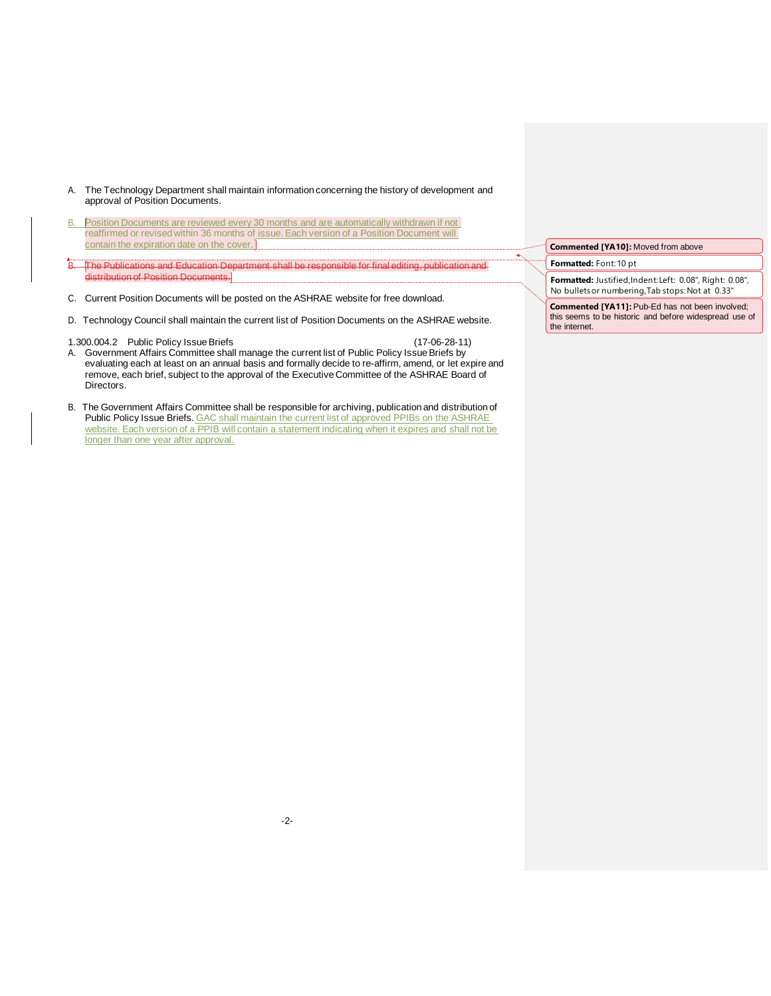- A. The Technology Department shall maintain information concerning the history of development and approval of Position Documents.
- B. Position Documents are reviewed every 30 months and are automatically withdrawn if not reaffirmed or revised within 36 months of issue. Each version of a Position Document will contain the expiration date on the cover.
- B. The Publications and Education Department shall be responsible for final editing, publication and distribution of Position Documents.
- C. Current Position Documents will be posted on the ASHRAE website for free download.
- D. Technology Council shall maintain the current list of Position Documents on the ASHRAE website.
- 1.300.004.2 Public Policy IssueBriefs (17-06-28-11) A. Government Affairs Committee shall manage the current list of Public Policy Issue Briefs by evaluating each at least on an annual basis and formally decide to re-affirm, amend, or let expire and remove, each brief, subject to the approval of the Executive Committee of the ASHRAE Board of Directors.
- B. The Government Affairs Committee shall be responsible for archiving, publication and distribution of Public Policy Issue Briefs. GAC shall maintain the current list of approved PPIBs on the ASHRAE website. Each version of a PPIB will contain a statement indicating when it expires and shall not be longer than one year after approval.

**Commented [YA10]:** Moved from above

**Formatted:** Font:10 pt

**Formatted:** Justified,Indent:Left: 0.08", Right: 0.08", No bulletsor numbering,Tab stops:Not at 0.33"

**Commented [YA11]:** Pub-Ed has not been involved; this seems to be historic and before widespread use of the internet.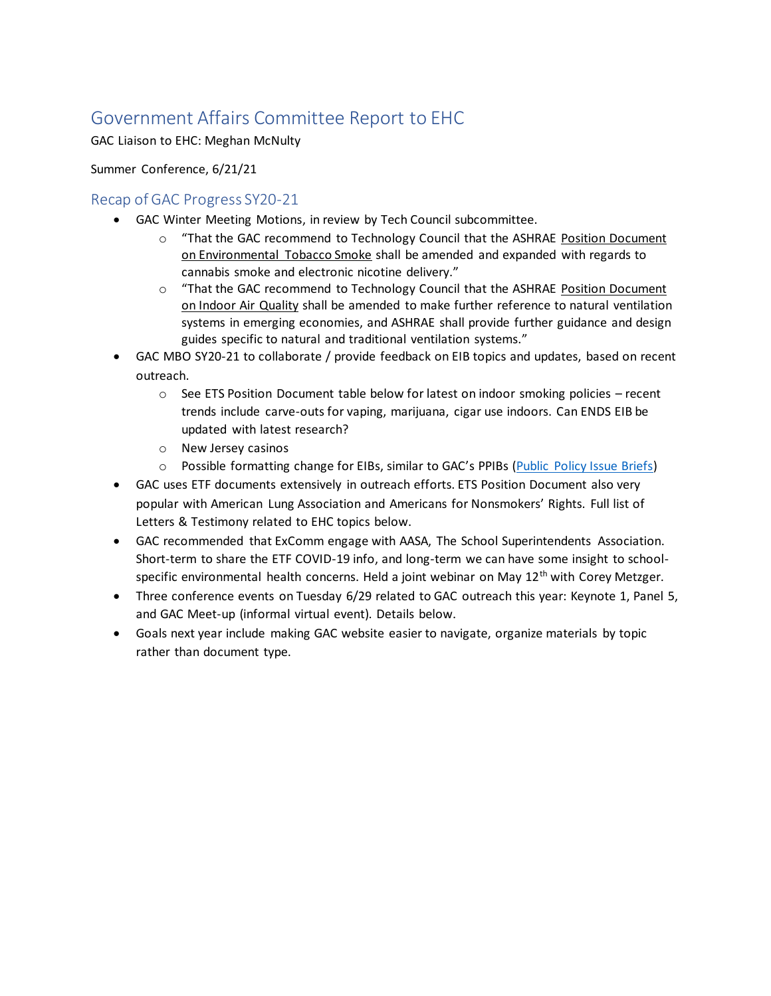# Government Affairs Committee Report to EHC

GAC Liaison to EHC: Meghan McNulty

Summer Conference, 6/21/21

# Recap of GAC Progress SY20-21

- GAC Winter Meeting Motions, in review by Tech Council subcommittee.
	- o "That the GAC recommend to Technology Council that the ASHRAE Position Document on Environmental Tobacco Smoke shall be amended and expanded with regards to cannabis smoke and electronic nicotine delivery."
	- o "That the GAC recommend to Technology Council that the ASHRAE Position Document on Indoor Air Quality shall be amended to make further reference to natural ventilation systems in emerging economies, and ASHRAE shall provide further guidance and design guides specific to natural and traditional ventilation systems."
- GAC MBO SY20-21 to collaborate / provide feedback on EIB topics and updates, based on recent outreach.
	- $\circ$  See ETS Position Document table below for latest on indoor smoking policies recent trends include carve-outs for vaping, marijuana, cigar use indoors. Can ENDS EIB be updated with latest research?
	- o New Jersey casinos
	- o Possible formatting change for EIBs, similar to GAC's PPIBs ([Public Policy Issue Briefs\)](https://www.ashrae.org/file%20library/about/government%20affairs/public%20policy%20resources/briefs/ppib---resiliency-in-the-built-environment_-final.pdf)
- GAC uses ETF documents extensively in outreach efforts. ETS Position Document also very popular with American Lung Association and Americans for Nonsmokers' Rights. Full list of Letters & Testimony related to EHC topics below.
- GAC recommended that ExComm engage with AASA, The School Superintendents Association. Short-term to share the ETF COVID-19 info, and long-term we can have some insight to schoolspecific environmental health concerns. Held a joint webinar on May 12<sup>th</sup> with Corey Metzger.
- Three conference events on Tuesday 6/29 related to GAC outreach this year: Keynote 1, Panel 5, and GAC Meet-up (informal virtual event). Details below.
- Goals next year include making GAC website easier to navigate, organize materials by topic rather than document type.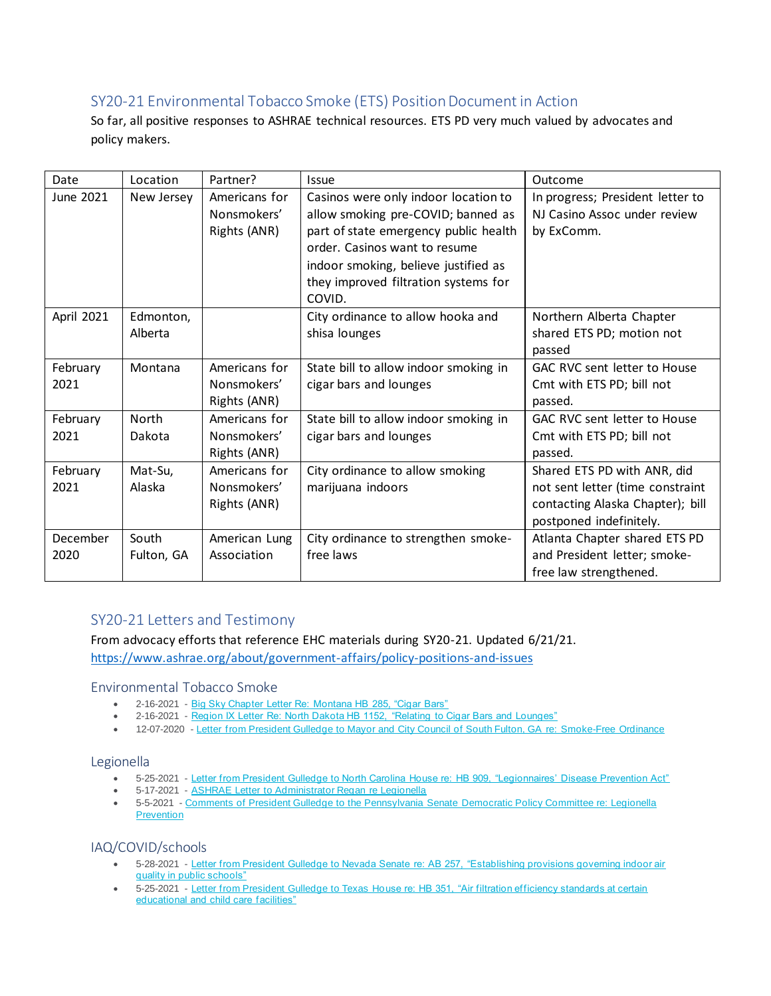# SY20-21 Environmental Tobacco Smoke (ETS) Position Document in Action

So far, all positive responses to ASHRAE technical resources. ETS PD very much valued by advocates and policy makers.

| Date       | Location   | Partner?      | <b>Issue</b>                          | Outcome                             |
|------------|------------|---------------|---------------------------------------|-------------------------------------|
| June 2021  | New Jersey | Americans for | Casinos were only indoor location to  | In progress; President letter to    |
|            |            | Nonsmokers'   | allow smoking pre-COVID; banned as    | NJ Casino Assoc under review        |
|            |            | Rights (ANR)  | part of state emergency public health | by ExComm.                          |
|            |            |               | order. Casinos want to resume         |                                     |
|            |            |               | indoor smoking, believe justified as  |                                     |
|            |            |               | they improved filtration systems for  |                                     |
|            |            |               | COVID.                                |                                     |
| April 2021 | Edmonton,  |               | City ordinance to allow hooka and     | Northern Alberta Chapter            |
|            | Alberta    |               | shisa lounges                         | shared ETS PD; motion not           |
|            |            |               |                                       | passed                              |
| February   | Montana    | Americans for | State bill to allow indoor smoking in | <b>GAC RVC sent letter to House</b> |
| 2021       |            | Nonsmokers'   | cigar bars and lounges                | Cmt with ETS PD; bill not           |
|            |            | Rights (ANR)  |                                       | passed.                             |
| February   | North      | Americans for | State bill to allow indoor smoking in | GAC RVC sent letter to House        |
| 2021       | Dakota     | Nonsmokers'   | cigar bars and lounges                | Cmt with ETS PD; bill not           |
|            |            | Rights (ANR)  |                                       | passed.                             |
| February   | Mat-Su,    | Americans for | City ordinance to allow smoking       | Shared ETS PD with ANR, did         |
| 2021       | Alaska     | Nonsmokers'   | marijuana indoors                     | not sent letter (time constraint    |
|            |            | Rights (ANR)  |                                       | contacting Alaska Chapter); bill    |
|            |            |               |                                       | postponed indefinitely.             |
| December   | South      | American Lung | City ordinance to strengthen smoke-   | Atlanta Chapter shared ETS PD       |
| 2020       | Fulton, GA | Association   | free laws                             | and President letter; smoke-        |
|            |            |               |                                       | free law strengthened.              |

# SY20-21 Letters and Testimony

From advocacy efforts that reference EHC materials during SY20-21. Updated 6/21/21. <https://www.ashrae.org/about/government-affairs/policy-positions-and-issues>

## Environmental Tobacco Smoke

- 2-16-2021 [Big Sky Chapter Letter Re: Montana HB 285, "Cigar Bars"](https://www.ashrae.org/file%20library/about/government%20affairs/public%20policy%20resources/ashrae-montana-hb-285-letter.pdf)
- 2-16-2021 [Region IX Letter Re: North Dakota HB 1152, "Relating to Cigar Bars and Lounges"](https://www.ashrae.org/file%20library/about/government%20affairs/public%20policy%20resources/north-dakota-hb-1152---ashrae-position.pdf)
- 12-07-2020 [Letter from President Gulledge to Mayor and City Council of South Fulton, GA](https://www.ashrae.org/file%20library/about/government%20affairs/public%20policy%20resources/smokefree-south-fulton-letter.pdf) re: Smoke-Free Ordinance

## Legionella

- 5-25-2021 [Letter from President Gulledge to North Carolina House re: HB 909, "Legionnaires' Disease Prevention Act"](https://www.ashrae.org/file%20library/about/government%20affairs/public%20policy%20resources/letter---nc-hb-909.pdf)
- 5-17-2021 **[ASHRAE Letter to Administrator Regan re Legionella](https://www.ashrae.org/file%20library/about/government%20affairs/public%20policy%20resources/ashrae-ltr-to-administrator-regan-re-legionella--epa-hq-ow-2020-0530-.pdf)**
- 5-5-2021 [Comments of President Gulledge to the Pennsylvania Senate Democratic Policy Committee re: Legionella](https://www.ashrae.org/file%20library/about/government%20affairs/public%20policy%20resources/ashrae-comments-pa-senate-188-and-legionella.pdf)  **[Prevention](https://www.ashrae.org/file%20library/about/government%20affairs/public%20policy%20resources/ashrae-comments-pa-senate-188-and-legionella.pdf)**

## IAQ/COVID/schools

- 5-28-2021 [Letter from President Gulledge to Nevada Senate re: AB 257, "Establishing provisions governing indoor air](https://www.ashrae.org/file%20library/about/government%20affairs/public%20policy%20resources/letter-nv-ab-257-senate.pdf)  [quality in public schools"](https://www.ashrae.org/file%20library/about/government%20affairs/public%20policy%20resources/letter-nv-ab-257-senate.pdf)
- 5-25-2021 [Letter from President Gulledge to Texas House re: HB 351, "Air filtration efficiency standards at certain](https://www.ashrae.org/file%20library/about/government%20affairs/public%20policy%20resources/letter---tx-351.pdf)  [educational and child care facilities"](https://www.ashrae.org/file%20library/about/government%20affairs/public%20policy%20resources/letter---tx-351.pdf)